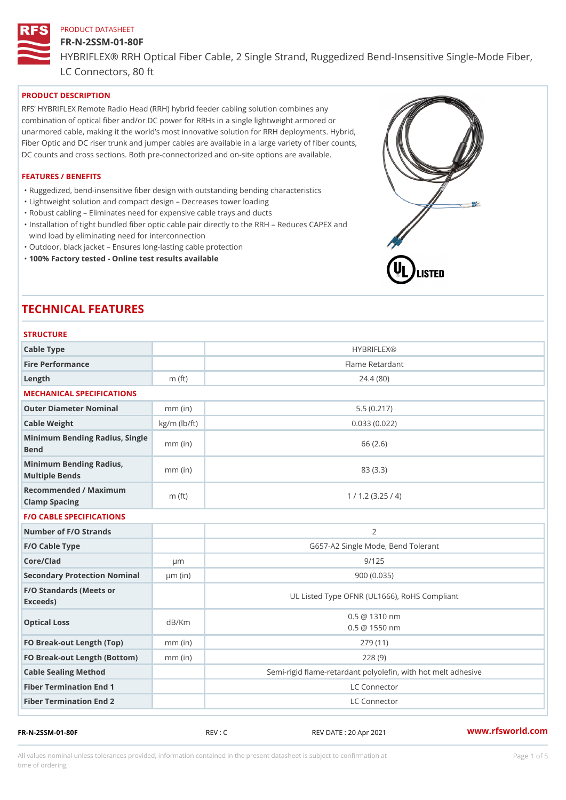### FR-N-2SSM-01-80F

HYBRIFLEX® RRH Optical Fiber Cable, 2 Single Strand, Ruggedized Be

LC Connectors, 80 ft

# PRODUCT DESCRIPTION

RFS HYBRIFLEX Remote Radio Head (RRH) hybrid feeder cabling solution combines any combination of optical fiber and/or DC power for RRHs in a single lightweight armored or unarmored cable, making it the world s most innovative solution for RRH deployments. Hybrid, Fiber Optic and DC riser trunk and jumper cables are available in a large variety of fiber counts, DC counts and cross sections. Both pre-connectorized and on-site options are available.

### FEATURES / BENEFITS

"Ruggedized, bend-insensitive fiber design with outstanding bending characteristics

- "Lightweight solution and compact design Decreases tower loading
- "Robust cabling Eliminates need for expensive cable trays and ducts
- "Installation of tight bundled fiber optic cable pair directly to the RRH Aeduces CAPEX and wind load by eliminating need for interconnection
- "Outdoor, black jacket Ensures long-lasting cable protection
- "100% Factory tested Online test results available

# TECHNICAL FEATURES

| <b>STRUCTURE</b>                                  |                    |                                                          |
|---------------------------------------------------|--------------------|----------------------------------------------------------|
| Cable Type                                        |                    | <b>HYBRIFLEX®</b>                                        |
| Fire Performance                                  |                    | Flame Retardant                                          |
| $L$ ength                                         | $m$ (ft)           | 24.4(80)                                                 |
| MECHANICAL SPECIFICATIONS                         |                    |                                                          |
| Outer Diameter Nominal                            | $mm$ (in)          | 5.5(0.217)                                               |
| Cable Weight                                      | $kg/m$ ( $lb/ft$ ) | 0.033(0.022)                                             |
| Minimum Bending Radius, Single<br>Bend            |                    | 66 (2.6)                                                 |
| Minimum Bending Radius, mm (in)<br>Multiple Bends |                    | 83 (3.3)                                                 |
| Recommended / Maximum<br>Clamp Spacing            | $m$ (ft)           | 1 / 1.2 (3.25 / 4)                                       |
| <b>F/O CABLE SPECIFICATIONS</b>                   |                    |                                                          |
| Number of F/O Strands                             |                    | 2                                                        |
| F/O Cable Type                                    |                    | G657-A2 Single Mode, Bend Tolerant                       |
| Core/Clad                                         | $\mu$ m            | 9/125                                                    |
| Secondary Protection Nomimal(in)                  |                    | 900 (0.035)                                              |
| F/O Standards (Meets or<br>Exceeds)               |                    | UL Listed Type OFNR (UL1666), RoHS Compliant             |
| Optical Loss                                      | dB/Km              | $0.5 \ @ \ 1310 \ nm$<br>$0.5 \ @ \ 1550 \ nm$           |
| FO Break-out Length (Top)mm (in)                  |                    | 279 (11)                                                 |
| FO Break-out Length (Bottomm) (in)                |                    | 228(9)                                                   |
| Cable Sealing Method                              |                    | Semi-rigid flame-retardant polyolefin, with hot melt adl |
| Fiber Termination End                             |                    | LC Connector                                             |
| Fiber Termination End 2                           |                    | LC Connector                                             |

FR-N-2SSM-01-80F REV : C REV DATE : 20 Apr 2021 [www.](https://www.rfsworld.com)rfsworld.com

All values nominal unless tolerances provided; information contained in the present datasheet is subject to Pcapgeight Stid time of ordering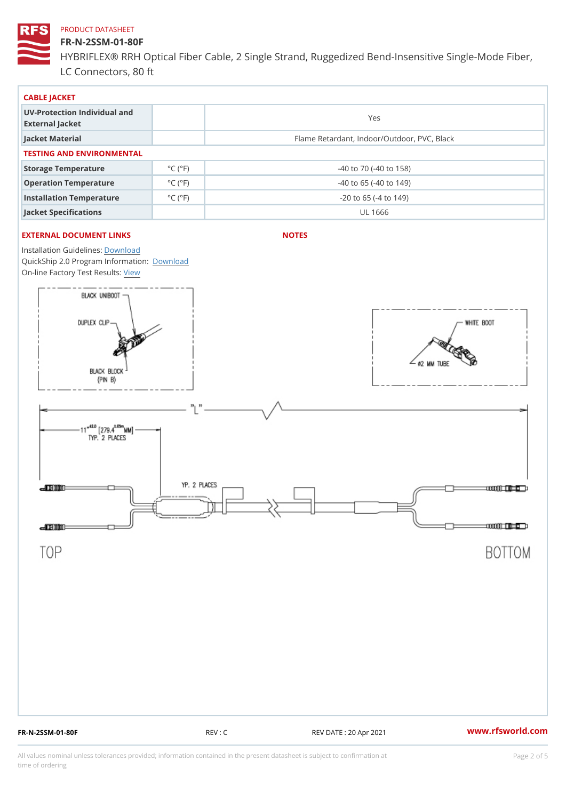# FR-N-2SSM-01-80F

HYBRIFLEX® RRH Optical Fiber Cable, 2 Single Strand, Ruggedized Be LC Connectors, 80 ft

| CABLE JACKET                                    |                             |                                             |  |  |  |  |
|-------------------------------------------------|-----------------------------|---------------------------------------------|--|--|--|--|
| UV-Protection Individual and<br>External Jacket |                             | Yes                                         |  |  |  |  |
| Jacket Material                                 |                             | Flame Retardant, Indoor/Outdoor, PVC, Black |  |  |  |  |
| TESTING AND ENVIRONMENTAL                       |                             |                                             |  |  |  |  |
| Storage Temperature                             | $^{\circ}$ C ( $^{\circ}$ F | $-40$ to $70$ ( $-40$ to $158$ )            |  |  |  |  |
| Operation Temperature                           | $^{\circ}$ C ( $^{\circ}$ F | $-40$ to 65 ( $-40$ to 149)                 |  |  |  |  |
| Installation Temperature                        | $^{\circ}$ C ( $^{\circ}$ F | $-20$ to 65 ( $-4$ to 149)                  |  |  |  |  |
| Jacket Specifications                           |                             | UL 1666                                     |  |  |  |  |

# EXTERNAL DOCUMENT LINKS

NOTES

Installation Guidelwinessad QuickShip 2.0 Program [Informa](http://www.rfsworld.com/images/hybriflex/quickship_program_2.pdf)tion: On-line Factory Te[s](https://www.rfsworld.com/pictures/userfiles/programs/AAST Latest Version.zip)teResults:

FR-N-2SSM-01-80F REV : C REV DATE : 20 Apr 2021 [www.](https://www.rfsworld.com)rfsworld.com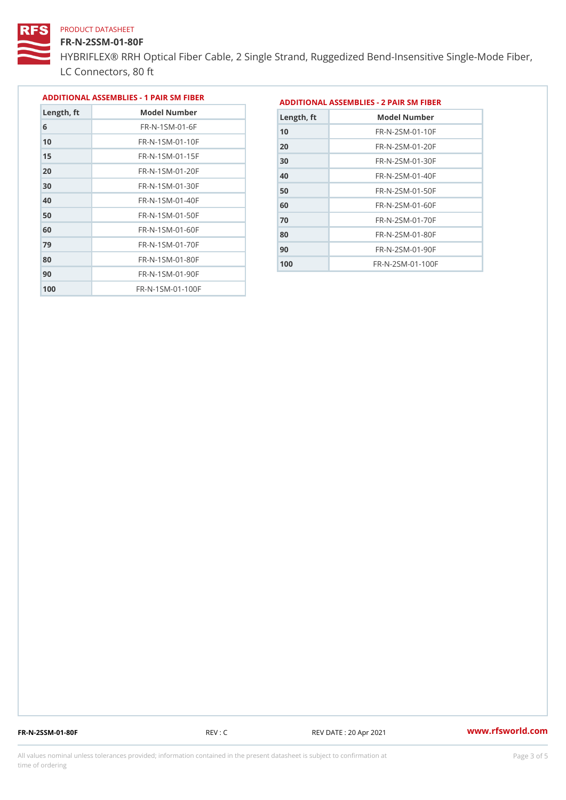### FR-N-2SSM-01-80F

HYBRIFLEX® RRH Optical Fiber Cable, 2 Single Strand, Ruggedized Be LC Connectors, 80 ft

|            |                             |            | ADDITIONAL ASSEMBLIES - 1 PAIR SM FIBERDDITIONAL ASSEMBLIES - 2 PAIR SM FIBER |  |
|------------|-----------------------------|------------|-------------------------------------------------------------------------------|--|
| Length, ft | Model Number                | Length, ft | Model Number                                                                  |  |
|            | $FR - N - 1$ S M - 01 - 6 F |            |                                                                               |  |

| 6   | $FR - N - 1$ $SM - 0$ 1 $-RF$ |
|-----|-------------------------------|
| 10  | FR-N-1SM-01-10F               |
| 15  | $FR - N - 1$ S M - 01 - 15 F  |
| 20  | FR-N-1SM-01-20F               |
| 30  | FR-N-1SM-01-30F               |
| 40  | FR-N-1SM-01-40F               |
| 50  | FR-N-1SM-01-50F               |
| 60  | $FR - N - 1$ S M - 01 - 60 F  |
| 79  | $FR - N - 1$ S M - 01 - 70 F  |
| 80  | FR-N-1SM-01-80F               |
| 90  | FR-N-1SM-01-90F               |
| 100 | $FR - N - 1$ S M - 01 - 100 F |

| Length, ft | Model Number                |
|------------|-----------------------------|
| 10         | $FR - N - 2 SM - 01 - 10 F$ |
| 20         | FR-N-2SM-01-20F             |
| 30         | FR-N-2SM-01-30F             |
| 40         | $FR - N - 2 SM - 01 - 40 F$ |
| 50         | $FR - N - 2 SM - 01 - 50 F$ |
| 60         | $FR - N - 2 SM - 01 - 60 F$ |
| 70         | FR-N-2SM-01-70F             |
| 80         | FR-N-2 SM-01-80F            |
| 90         | $FR - N - 2 SM - 01 - 90 F$ |
| 100        | FR-N-2SM-01-100F            |

FR-N-2SSM-01-80F REV : C REV DATE : 20 Apr 2021 [www.](https://www.rfsworld.com)rfsworld.com

All values nominal unless tolerances provided; information contained in the present datasheet is subject to Pcapgeling that i time of ordering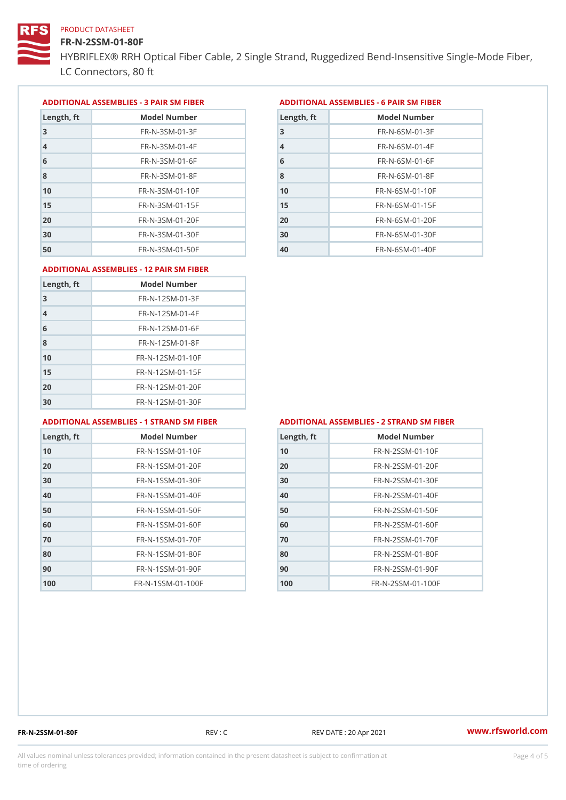# FR-N-2SSM-01-80F

HYBRIFLEX® RRH Optical Fiber Cable, 2 Single Strand, Ruggedized Be LC Connectors, 80 ft

ADDITIONAL ASSEMBLIES - 3 PAIR SM FIBERED DITIONAL ASSEMBLIES - 6 PAIR SM FIBER

| Length, ft     | Model Number                 |
|----------------|------------------------------|
| 3              | $FR - N - 3 S M - 01 - 3 F$  |
| $\overline{4}$ | $FR - N - 3 S M - 01 - 4 F$  |
| 6              | $FR - N - 3 S M - 01 - 6 F$  |
| 8              | FR-N-3SM-01-8F               |
| 10             | $FR - N - 3 S M - 01 - 10 F$ |
| 15             | $FR - N - 3 S M - 01 - 15 F$ |
| 20             | $FR - N - 3 S M - 01 - 20 F$ |
| 30             | $FR - N - 3 S M - 01 - 30 F$ |
| 50             | $FR - N - 3 S M - 01 - 50 F$ |

| Model Number<br>Length, ft   |
|------------------------------|
| $FR - N - 6 S M - 01 - 3 F$  |
| $FR - N - 6$ S M - 01 - 4 F  |
| $FR - N - 6 S M - 01 - 6 F$  |
| $FR - N - 6$ S M - 01 - 8 F  |
| $FR - N - 6$ S M - 01 - 10 F |
| $FR - N - 6$ S M - 01 - 15 F |
| $FR - N - 6 SM - 01 - 20 F$  |
| $FR - N - 6 S M - 01 - 30 F$ |
| $FR - N - 6 SM - 01 - 40 F$  |
|                              |

#### ADDITIONAL ASSEMBLIES - 12 PAIR SM FIBER

| Length, ft     | Model Number                 |
|----------------|------------------------------|
| 3              | $FR - N - 12SM - 01 - 3F$    |
| $\overline{4}$ | $FR - N - 12SM - 01 - 4F$    |
| 6              | $FR - N - 12$ S M - 01 - 6 F |
| 8              | $FR - N - 12$ S M - 01 - 8 F |
| 10             | FR-N-12SM-01-10F             |
| 15             | FR-N-12SM-01-15F             |
| 20             | FR-N-12SM-01-20F             |
| 30             | FR-N-12SM-01-30F             |

#### ADDITIONAL ASSEMBLIES - 1 STRAND SM FABSDRTIONAL ASSEMBLIES - 2 STRAND SM FIBER

| Length, ft | Model Number                    |
|------------|---------------------------------|
| 10         | $FR - N - 1$ S S M - 01 - 10 F  |
| 20         | $FR - N - 1$ S S M - 01 - 20 F  |
| 30         | FR-N-1SSM-01-30F                |
| 40         | FR-N-1SSM-01-40F                |
| 50         | FR-N-1SSM-01-50F                |
| 60         | FR-N-1SSM-01-60F                |
| 70         | FR-N-1SSM-01-70F                |
| 80         | FR-N-1SSM-01-80F                |
| 90         | FR-N-1SSM-01-90F                |
| 100        | $FR - N - 1$ S S M - 01 - 100 F |

| Length, ft | Model Number                   |
|------------|--------------------------------|
| 10         | $FR - N - 2 S S M - 01 - 10 F$ |
| 20         | FR-N-2SSM-01-20F               |
| 30         | FR-N-2SSM-01-30F               |
| 40         | $FR - N - 2 S S M - 01 - 40 F$ |
| 50         | $FR - N - 2 S S M - 01 - 50 F$ |
| 60         | FR-N-2SSM-01-60F               |
| 70         | FR-N-2SSM-01-70F               |
| 80         | $FR - N - 2 S S M - 01 - 80 F$ |
| 90         | $FR - N - 2 S S M - 01 - 90 F$ |
| 100        | FR-N-2SSM-01-100F              |

FR-N-2SSM-01-80F REV : C REV DATE : 20 Apr 2021 [www.](https://www.rfsworld.com)rfsworld.com

All values nominal unless tolerances provided; information contained in the present datasheet is subject to Pcapgnéig4m ssti time of ordering